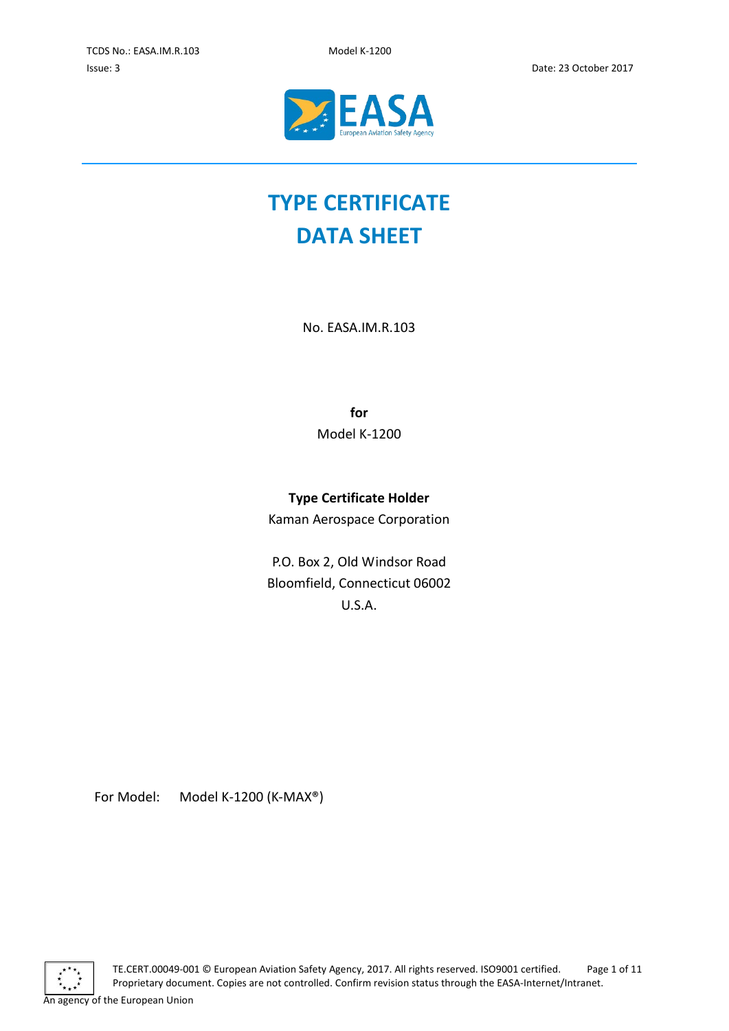

# **TYPE CERTIFICATE DATA SHEET**

No. EASA.IM.R.103

**for** Model K-1200

# **Type Certificate Holder**

Kaman Aerospace Corporation

P.O. Box 2, Old Windsor Road Bloomfield, Connecticut 06002 U.S.A.

For Model: Model K-1200 (K-MAX®)



An agency of the European Union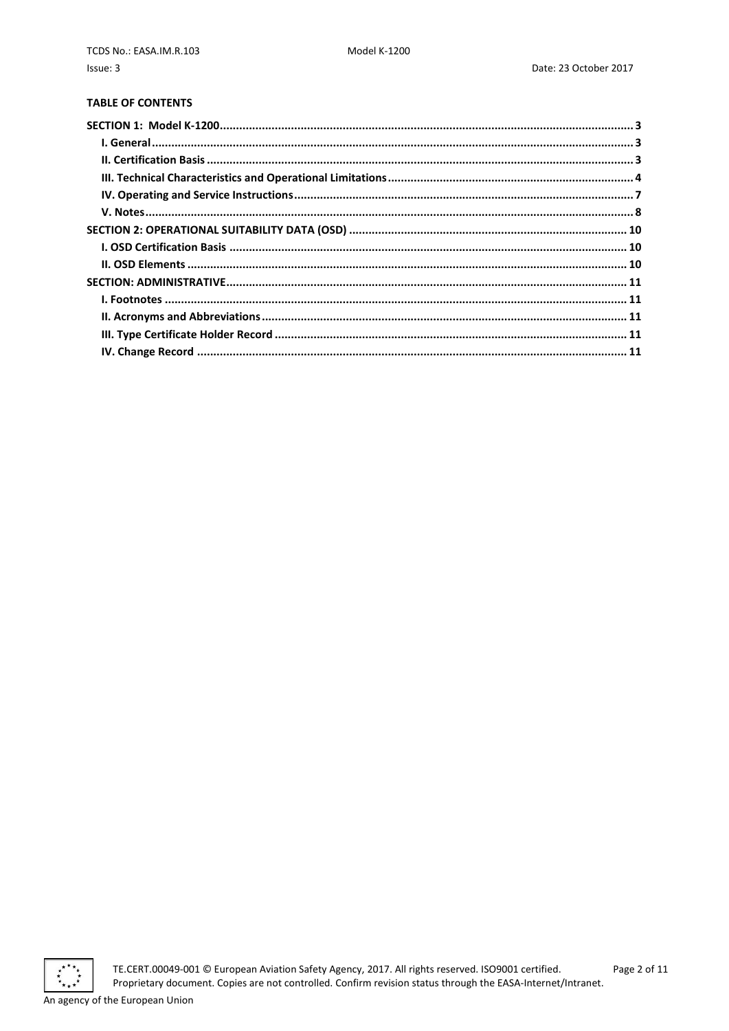# **TABLE OF CONTENTS**

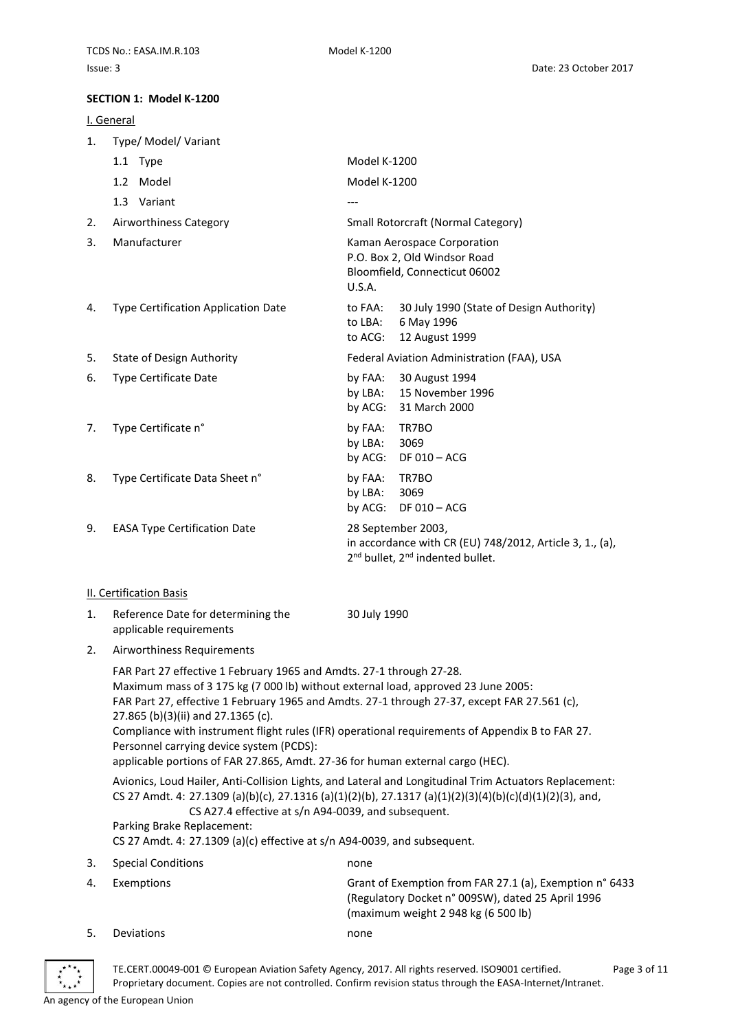#### <span id="page-2-0"></span>**SECTION 1: Model K-1200**

#### <span id="page-2-1"></span>I. General

- 1. Type/ Model/ Variant
- 1.1 Type Model K-1200 1.2 Model Model K-1200  $1.3$  Variant  $-$ 2. Airworthiness Category Small Rotorcraft (Normal Category) 3. Manufacturer **Kaman Aerospace Corporation** P.O. Box 2, Old Windsor Road Bloomfield, Connecticut 06002 U.S.A. 4. Type Certification Application Date to FAA: 30 July 1990 (State of Design Authority) to LBA: 6 May 1996 to ACG: 12 August 1999 5. State of Design Authority Federal Aviation Administration (FAA), USA 6. Type Certificate Date by FAA: 30 August 1994 by LBA: 15 November 1996 by ACG: 31 March 2000 7. Type Certificate n° by FAA: TR7BO by LBA: 3069 by ACG: DF 010 – ACG 8. Type Certificate Data Sheet n° by FAA: TR7BO by LBA: 3069 by ACG: DF 010 – ACG 9. EASA Type Certification Date 28 September 2003, in accordance with CR (EU) 748/2012, Article 3, 1., (a),

#### <span id="page-2-2"></span>II. Certification Basis

1. Reference Date for determining the applicable requirements

30 July 1990

2<sup>nd</sup> bullet, 2<sup>nd</sup> indented bullet.

2. Airworthiness Requirements

FAR Part 27 effective 1 February 1965 and Amdts. 27-1 through 27-28. Maximum mass of 3 175 kg (7 000 lb) without external load, approved 23 June 2005: FAR Part 27, effective 1 February 1965 and Amdts. 27-1 through 27-37, except FAR 27.561 (c), 27.865 (b)(3)(ii) and 27.1365 (c). Compliance with instrument flight rules (IFR) operational requirements of Appendix B to FAR 27. Personnel carrying device system (PCDS): applicable portions of FAR 27.865, Amdt. 27-36 for human external cargo (HEC).

Avionics, Loud Hailer, Anti-Collision Lights, and Lateral and Longitudinal Trim Actuators Replacement: CS 27 Amdt. 4: 27.1309 (a)(b)(c), 27.1316 (a)(1)(2)(b), 27.1317 (a)(1)(2)(3)(4)(b)(c)(d)(1)(2)(3), and, CS A27.4 effective at s/n A94-0039, and subsequent.

Parking Brake Replacement:

CS 27 Amdt. 4: 27.1309 (a)(c) effective at s/n A94-0039, and subsequent.

3. Special Conditions none 4. Exemptions Grant of Exemption from FAR 27.1 (a), Exemption n° 6433 (Regulatory Docket n° 009SW), dated 25 April 1996 (maximum weight 2 948 kg (6 500 lb) 5. Deviations none



TE.CERT.00049-001 © European Aviation Safety Agency, 2017. All rights reserved. ISO9001 certified. Page 3 of 11 Proprietary document. Copies are not controlled. Confirm revision status through the EASA-Internet/Intranet. An agency of the European Union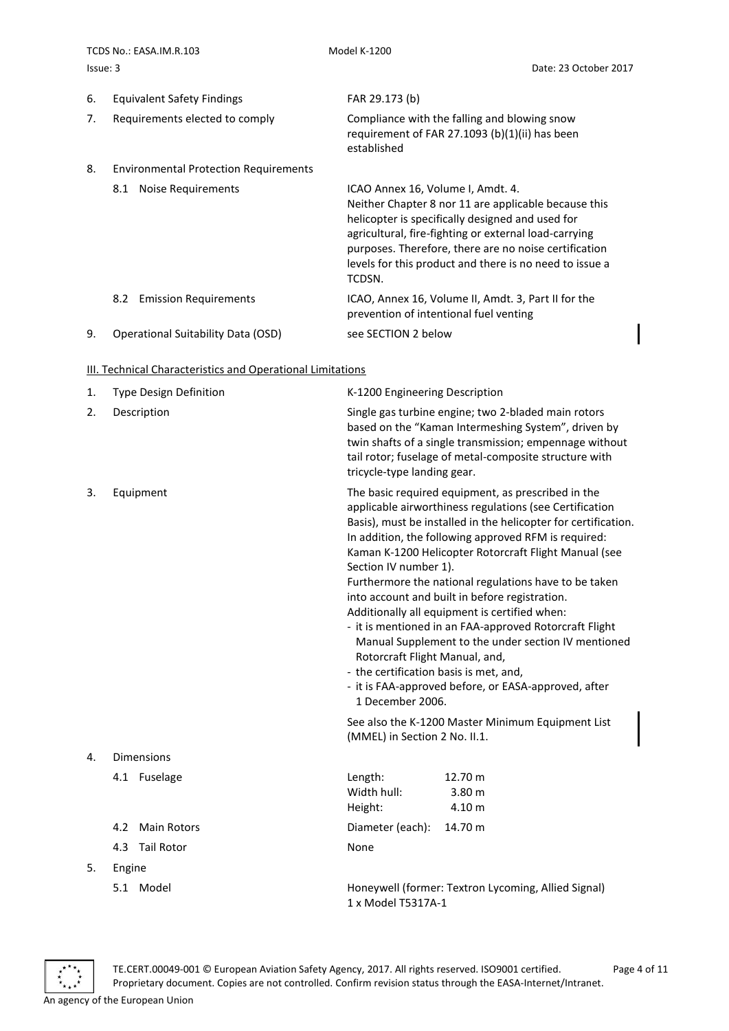TCDS No.: FASA.IM.R.103 Model K-1200 Issue: 3 Date: 23 October 2017

established

- 6. Equivalent Safety Findings FAR 29.173 (b)
- 7. Requirements elected to comply Compliance with the falling and blowing snow
- 8. Environmental Protection Requirements
	-

8.1 Noise Requirements ICAO Annex 16, Volume I, Amdt. 4. Neither Chapter 8 nor 11 are applicable because this helicopter is specifically designed and used for agricultural, fire-fighting or external load-carrying purposes. Therefore, there are no noise certification levels for this product and there is no need to issue a TCDSN.

requirement of FAR 27.1093 (b)(1)(ii) has been

8.2 Emission Requirements ICAO, Annex 16, Volume II, Amdt. 3, Part II for the prevention of intentional fuel venting

9. Operational Suitability Data (OSD) see SECTION 2 below

#### <span id="page-3-0"></span>**III. Technical Characteristics and Operational Limitations**

| 1. | Type Design Definition    | K-1200 Engineering Description                                                                                                                                                                                                                                                                                                                                                                                                                                                                                                                                                                                                                                                                                                                                                                                                                       |
|----|---------------------------|------------------------------------------------------------------------------------------------------------------------------------------------------------------------------------------------------------------------------------------------------------------------------------------------------------------------------------------------------------------------------------------------------------------------------------------------------------------------------------------------------------------------------------------------------------------------------------------------------------------------------------------------------------------------------------------------------------------------------------------------------------------------------------------------------------------------------------------------------|
| 2. | Description               | Single gas turbine engine; two 2-bladed main rotors<br>based on the "Kaman Intermeshing System", driven by<br>twin shafts of a single transmission; empennage without<br>tail rotor; fuselage of metal-composite structure with<br>tricycle-type landing gear.                                                                                                                                                                                                                                                                                                                                                                                                                                                                                                                                                                                       |
| 3. | Equipment                 | The basic required equipment, as prescribed in the<br>applicable airworthiness regulations (see Certification<br>Basis), must be installed in the helicopter for certification.<br>In addition, the following approved RFM is required:<br>Kaman K-1200 Helicopter Rotorcraft Flight Manual (see<br>Section IV number 1).<br>Furthermore the national regulations have to be taken<br>into account and built in before registration.<br>Additionally all equipment is certified when:<br>- it is mentioned in an FAA-approved Rotorcraft Flight<br>Manual Supplement to the under section IV mentioned<br>Rotorcraft Flight Manual, and,<br>- the certification basis is met, and,<br>- it is FAA-approved before, or EASA-approved, after<br>1 December 2006.<br>See also the K-1200 Master Minimum Equipment List<br>(MMEL) in Section 2 No. II.1. |
| 4. | <b>Dimensions</b>         |                                                                                                                                                                                                                                                                                                                                                                                                                                                                                                                                                                                                                                                                                                                                                                                                                                                      |
|    | 4.1 Fuselage              | Length:<br>12.70 m<br>Width hull:<br>3.80 m<br>4.10 m<br>Height:                                                                                                                                                                                                                                                                                                                                                                                                                                                                                                                                                                                                                                                                                                                                                                                     |
|    | <b>Main Rotors</b><br>4.2 | Diameter (each):<br>14.70 m                                                                                                                                                                                                                                                                                                                                                                                                                                                                                                                                                                                                                                                                                                                                                                                                                          |
|    | <b>Tail Rotor</b><br>4.3  | None                                                                                                                                                                                                                                                                                                                                                                                                                                                                                                                                                                                                                                                                                                                                                                                                                                                 |
| 5. | Engine                    |                                                                                                                                                                                                                                                                                                                                                                                                                                                                                                                                                                                                                                                                                                                                                                                                                                                      |
|    | 5.1 Model                 | Honeywell (former: Textron Lycoming, Allied Signal)<br>1 x Model T5317A-1                                                                                                                                                                                                                                                                                                                                                                                                                                                                                                                                                                                                                                                                                                                                                                            |



TE.CERT.00049-001 © European Aviation Safety Agency, 2017. All rights reserved. ISO9001 certified. Page 4 of 11 Proprietary document. Copies are not controlled. Confirm revision status through the EASA-Internet/Intranet. An agency of the European Union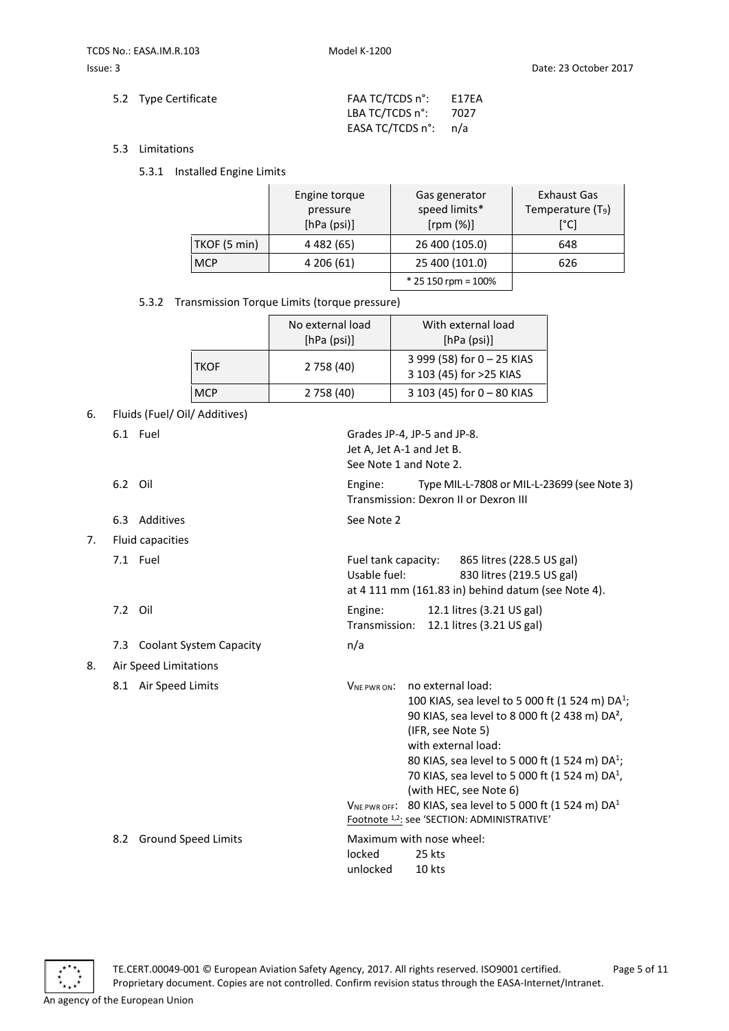| 5.2 Type Certificate | FAA TC/TCDS n°:                | E17EA |
|----------------------|--------------------------------|-------|
|                      | LBA TC/TCDS n°: 7027           |       |
|                      | EASA TC/TCDS $n^{\circ}$ : n/a |       |

- 5.3 Limitations
	- 5.3.1 Installed Engine Limits

|              | Engine torque<br>pressure<br>[hPa (psi)] | Gas generator<br>speed limits*<br>[rpm (%)] | Exhaust Gas<br>Temperature (T <sub>9</sub> )<br>[°C] |
|--------------|------------------------------------------|---------------------------------------------|------------------------------------------------------|
| TKOF (5 min) | 4 4 8 2 (65)                             | 26 400 (105.0)                              | 648                                                  |
| <b>MCP</b>   | 4 206 (61)                               | 25 400 (101.0)                              | 626                                                  |
|              |                                          | $*$ 25 150 rpm = 100%                       |                                                      |

Jet A, Jet A-1 and Jet B. See Note 1 and Note 2.

5.3.2 Transmission Torque Limits (torque pressure)

|             | No external load<br>[hPa (psi)] | With external load<br>[hPa (psi)]                     |
|-------------|---------------------------------|-------------------------------------------------------|
| <b>TKOF</b> | 2 758 (40)                      | 3 999 (58) for 0 - 25 KIAS<br>3 103 (45) for >25 KIAS |
| <b>MCP</b>  | 2 758 (40)                      | 3 103 (45) for 0 - 80 KIAS                            |

- 6. Fluids (Fuel/ Oil/ Additives)
	- 6.1 Fuel Grades JP-4, JP-5 and JP-8.
	- 6.2 Oil Engine: Type MIL-L-7808 or MIL-L-23699 (see Note 3)
	- 6.3 Additives See Note 2
- 7. Fluid capacities
	-
	-
	- 7.3 Coolant System Capacity **n/a**
- 8. Air Speed Limitations
	-
- 7.1 Fuel Fuel The Fuel tank capacity: 865 litres (228.5 US gal) Usable fuel: 830 litres (219.5 US gal) at 4 111 mm (161.83 in) behind datum (see Note 4).
- 7.2 Oil Engine: 12.1 litres (3.21 US gal) Transmission: 12.1 litres (3.21 US gal)

Transmission: Dexron II or Dexron III

- 
- 8.1 Air Speed Limits **VNE PWR ON:** no external load: 100 KIAS, sea level to 5 000 ft (1 524 m) DA<sup>1</sup>; 90 KIAS, sea level to 8 000 ft (2 438 m) DA², (IFR, see Note 5) with external load: 80 KIAS, sea level to 5 000 ft (1 524 m) DA<sup>1</sup>; 70 KIAS, sea level to 5 000 ft (1 524 m) DA<sup>1</sup>, (with HEC, see Note 6)  $V_{NE PWR OFF}: 80$  KIAS, sea level to 5 000 ft (1 524 m) DA<sup>1</sup>
	- Footnote 1,2: see 'SECTION: ADMINISTRATIVE'

8.2 Ground Speed Limits Maximum with nose wheel: locked 25 kts

unlocked 10 kts

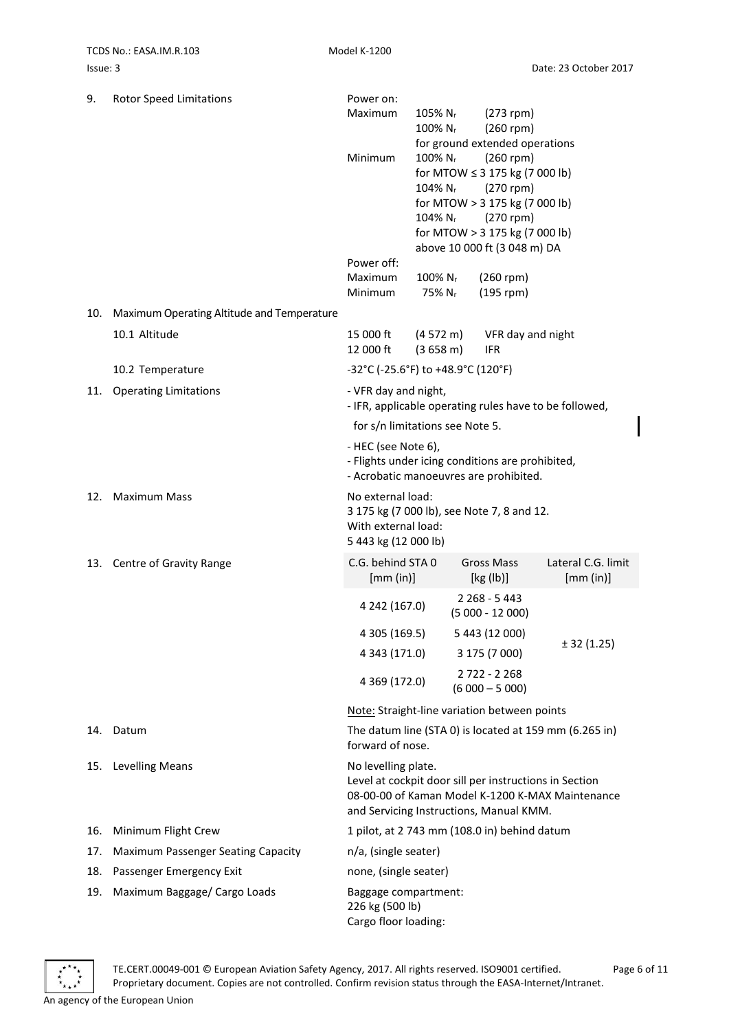| 9.  | <b>Rotor Speed Limitations</b>             | Power on:                                                       |                                |                                                                                                   |                                                        |
|-----|--------------------------------------------|-----------------------------------------------------------------|--------------------------------|---------------------------------------------------------------------------------------------------|--------------------------------------------------------|
|     |                                            | Maximum                                                         | 105% N <sub>r</sub><br>100% Nr | $(273$ rpm)<br>$(260$ rpm)                                                                        |                                                        |
|     |                                            | Minimum                                                         | 100% N <sub>r</sub>            | for ground extended operations<br>$(260$ rpm)<br>for MTOW $\leq$ 3 175 kg (7 000 lb)              |                                                        |
|     |                                            |                                                                 | 104% N <sub>r</sub>            | $(270$ rpm)                                                                                       |                                                        |
|     |                                            |                                                                 |                                | for MTOW > 3 175 kg (7 000 lb)                                                                    |                                                        |
|     |                                            |                                                                 | $104\%$ N <sub>r</sub>         | $(270$ rpm)                                                                                       |                                                        |
|     |                                            |                                                                 |                                | for MTOW > 3 175 kg (7 000 lb)<br>above 10 000 ft (3 048 m) DA                                    |                                                        |
|     |                                            | Power off:                                                      |                                |                                                                                                   |                                                        |
|     |                                            | Maximum                                                         | 100% N <sub>r</sub>            | $(260$ rpm)                                                                                       |                                                        |
|     |                                            | Minimum                                                         | 75% N <sub>r</sub>             | $(195$ rpm)                                                                                       |                                                        |
| 10. | Maximum Operating Altitude and Temperature |                                                                 |                                |                                                                                                   |                                                        |
|     | 10.1 Altitude                              | 15 000 ft<br>12 000 ft                                          | (4572 m)<br>(3658 m)           | VFR day and night<br><b>IFR</b>                                                                   |                                                        |
|     | 10.2 Temperature                           | -32°C (-25.6°F) to +48.9°C (120°F)                              |                                |                                                                                                   |                                                        |
| 11. | <b>Operating Limitations</b>               | - VFR day and night,                                            |                                | - IFR, applicable operating rules have to be followed,                                            |                                                        |
|     |                                            | for s/n limitations see Note 5.                                 |                                |                                                                                                   |                                                        |
|     |                                            | - HEC (see Note 6),                                             |                                | - Flights under icing conditions are prohibited,<br>- Acrobatic manoeuvres are prohibited.        |                                                        |
| 12. | <b>Maximum Mass</b>                        | No external load:                                               |                                |                                                                                                   |                                                        |
|     |                                            | With external load:<br>5 443 kg (12 000 lb)                     |                                | 3 175 kg (7 000 lb), see Note 7, 8 and 12.                                                        |                                                        |
|     | 13. Centre of Gravity Range                | C.G. behind STA 0<br>[mm (in)]                                  |                                | <b>Gross Mass</b><br>[kg (lb)]                                                                    | Lateral C.G. limit<br>[mm (in)]                        |
|     |                                            | 4 242 (167.0)                                                   |                                | 2 2 68 - 5 4 4 3<br>$(5000 - 12000)$                                                              |                                                        |
|     |                                            | 4 305 (169.5)                                                   |                                | 5 443 (12 000)                                                                                    |                                                        |
|     |                                            | 4 343 (171.0)                                                   |                                | 3 175 (7 000)                                                                                     | ± 32(1.25)                                             |
|     |                                            | 4 369 (172.0)                                                   |                                | 2722 - 2268<br>$(6000 - 5000)$                                                                    |                                                        |
|     |                                            |                                                                 |                                | Note: Straight-line variation between points                                                      |                                                        |
|     | 14. Datum                                  | forward of nose.                                                |                                |                                                                                                   | The datum line (STA 0) is located at 159 mm (6.265 in) |
| 15. | <b>Levelling Means</b>                     | No levelling plate.                                             |                                | Level at cockpit door sill per instructions in Section<br>and Servicing Instructions, Manual KMM. | 08-00-00 of Kaman Model K-1200 K-MAX Maintenance       |
| 16. | Minimum Flight Crew                        |                                                                 |                                | 1 pilot, at 2 743 mm (108.0 in) behind datum                                                      |                                                        |
| 17. | Maximum Passenger Seating Capacity         | n/a, (single seater)                                            |                                |                                                                                                   |                                                        |
| 18. | Passenger Emergency Exit                   | none, (single seater)                                           |                                |                                                                                                   |                                                        |
| 19. | Maximum Baggage/ Cargo Loads               | Baggage compartment:<br>226 kg (500 lb)<br>Cargo floor loading: |                                |                                                                                                   |                                                        |



TE.CERT.00049-001 © European Aviation Safety Agency, 2017. All rights reserved. ISO9001 certified. Page 6 of 11 Proprietary document. Copies are not controlled. Confirm revision status through the EASA-Internet/Intranet. An agency of the European Union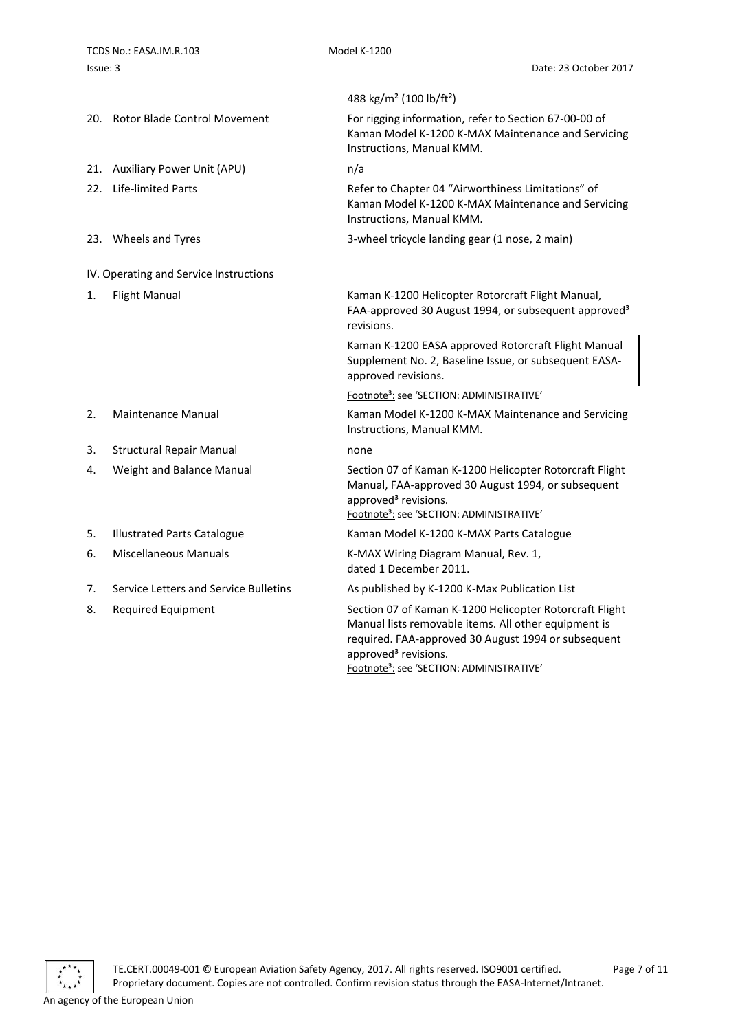<span id="page-6-0"></span>

|    |                                        | 488 kg/m <sup>2</sup> (100 lb/ft <sup>2</sup> )                                                                                                                                                            |
|----|----------------------------------------|------------------------------------------------------------------------------------------------------------------------------------------------------------------------------------------------------------|
|    | 20. Rotor Blade Control Movement       | For rigging information, refer to Section 67-00-00 of<br>Kaman Model K-1200 K-MAX Maintenance and Servicing<br>Instructions, Manual KMM.                                                                   |
|    | 21. Auxiliary Power Unit (APU)         | n/a                                                                                                                                                                                                        |
|    | 22. Life-limited Parts                 | Refer to Chapter 04 "Airworthiness Limitations" of<br>Kaman Model K-1200 K-MAX Maintenance and Servicing<br>Instructions, Manual KMM.                                                                      |
|    | 23. Wheels and Tyres                   | 3-wheel tricycle landing gear (1 nose, 2 main)                                                                                                                                                             |
|    | IV. Operating and Service Instructions |                                                                                                                                                                                                            |
| 1. | <b>Flight Manual</b>                   | Kaman K-1200 Helicopter Rotorcraft Flight Manual,<br>FAA-approved 30 August 1994, or subsequent approved <sup>3</sup><br>revisions.                                                                        |
|    |                                        | Kaman K-1200 EASA approved Rotorcraft Flight Manual<br>Supplement No. 2, Baseline Issue, or subsequent EASA-<br>approved revisions.                                                                        |
|    |                                        | Footnote <sup>3</sup> : see 'SECTION: ADMINISTRATIVE'                                                                                                                                                      |
| 2. | <b>Maintenance Manual</b>              | Kaman Model K-1200 K-MAX Maintenance and Servicing<br>Instructions, Manual KMM.                                                                                                                            |
| 3. | <b>Structural Repair Manual</b>        | none                                                                                                                                                                                                       |
| 4. | Weight and Balance Manual              | Section 07 of Kaman K-1200 Helicopter Rotorcraft Flight<br>Manual, FAA-approved 30 August 1994, or subsequent<br>approved <sup>3</sup> revisions.<br>Footnote <sup>3</sup> : see 'SECTION: ADMINISTRATIVE' |
| 5. | <b>Illustrated Parts Catalogue</b>     | Kaman Model K-1200 K-MAX Parts Catalogue                                                                                                                                                                   |
| 6. | <b>Miscellaneous Manuals</b>           | K-MAX Wiring Diagram Manual, Rev. 1,<br>dated 1 December 2011.                                                                                                                                             |
| 7. | Service Letters and Service Bulletins  | As published by K-1200 K-Max Publication List                                                                                                                                                              |
| 8. | <b>Required Equipment</b>              | Section 07 of Kaman K-1200 Helicopter Rotorcraft Flight<br>Manual lists removable items. All other equipment is<br>required. FAA-approved 30 August 1994 or subsequent                                     |

approved<sup>3</sup> revisions.

Footnote<sup>3</sup>: see 'SECTION: ADMINISTRATIVE'

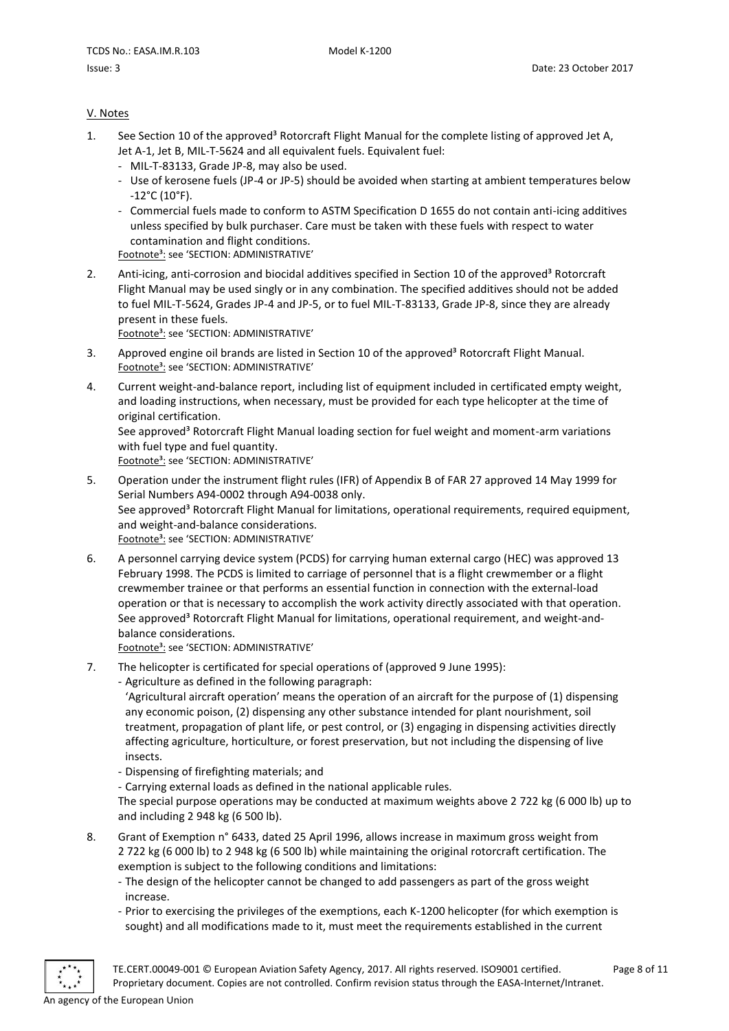# <span id="page-7-0"></span>V. Notes

- 1. See Section 10 of the approved<sup>3</sup> Rotorcraft Flight Manual for the complete listing of approved Jet A, Jet A-1, Jet B, MIL-T-5624 and all equivalent fuels. Equivalent fuel:
	- MIL-T-83133, Grade JP-8, may also be used.
	- Use of kerosene fuels (JP-4 or JP-5) should be avoided when starting at ambient temperatures below -12°C (10°F).
	- Commercial fuels made to conform to ASTM Specification D 1655 do not contain anti-icing additives unless specified by bulk purchaser. Care must be taken with these fuels with respect to water contamination and flight conditions.

Footnote<sup>3</sup>: see 'SECTION: ADMINISTRATIVE'

2. Anti-icing, anti-corrosion and biocidal additives specified in Section 10 of the approved<sup>3</sup> Rotorcraft Flight Manual may be used singly or in any combination. The specified additives should not be added to fuel MIL-T-5624, Grades JP-4 and JP-5, or to fuel MIL-T-83133, Grade JP-8, since they are already present in these fuels.

Footnote<sup>3</sup>: see 'SECTION: ADMINISTRATIVE'

- 3. Approved engine oil brands are listed in Section 10 of the approved<sup>3</sup> Rotorcraft Flight Manual. Footnote<sup>3</sup>: see 'SECTION: ADMINISTRATIVE'
- 4. Current weight-and-balance report, including list of equipment included in certificated empty weight, and loading instructions, when necessary, must be provided for each type helicopter at the time of original certification.

See approved<sup>3</sup> Rotorcraft Flight Manual loading section for fuel weight and moment-arm variations with fuel type and fuel quantity.

Footnote<sup>3</sup>: see 'SECTION: ADMINISTRATIVE'

- 5. Operation under the instrument flight rules (IFR) of Appendix B of FAR 27 approved 14 May 1999 for Serial Numbers A94-0002 through A94-0038 only. See approved<sup>3</sup> Rotorcraft Flight Manual for limitations, operational requirements, required equipment, and weight-and-balance considerations. Footnote<sup>3</sup>: see 'SECTION: ADMINISTRATIVE'
- 6. A personnel carrying device system (PCDS) for carrying human external cargo (HEC) was approved 13 February 1998. The PCDS is limited to carriage of personnel that is a flight crewmember or a flight crewmember trainee or that performs an essential function in connection with the external-load operation or that is necessary to accomplish the work activity directly associated with that operation. See approved<sup>3</sup> Rotorcraft Flight Manual for limitations, operational requirement, and weight-andbalance considerations.

Footnote<sup>3</sup>: see 'SECTION: ADMINISTRATIVE'

- 7. The helicopter is certificated for special operations of (approved 9 June 1995):
	- Agriculture as defined in the following paragraph:

'Agricultural aircraft operation' means the operation of an aircraft for the purpose of (1) dispensing any economic poison, (2) dispensing any other substance intended for plant nourishment, soil treatment, propagation of plant life, or pest control, or (3) engaging in dispensing activities directly affecting agriculture, horticulture, or forest preservation, but not including the dispensing of live insects.

- Dispensing of firefighting materials; and
- Carrying external loads as defined in the national applicable rules.

The special purpose operations may be conducted at maximum weights above 2 722 kg (6 000 lb) up to and including 2 948 kg (6 500 lb).

- 8. Grant of Exemption n° 6433, dated 25 April 1996, allows increase in maximum gross weight from 2 722 kg (6 000 lb) to 2 948 kg (6 500 lb) while maintaining the original rotorcraft certification. The exemption is subject to the following conditions and limitations:
	- The design of the helicopter cannot be changed to add passengers as part of the gross weight increase.
	- Prior to exercising the privileges of the exemptions, each K-1200 helicopter (for which exemption is sought) and all modifications made to it, must meet the requirements established in the current

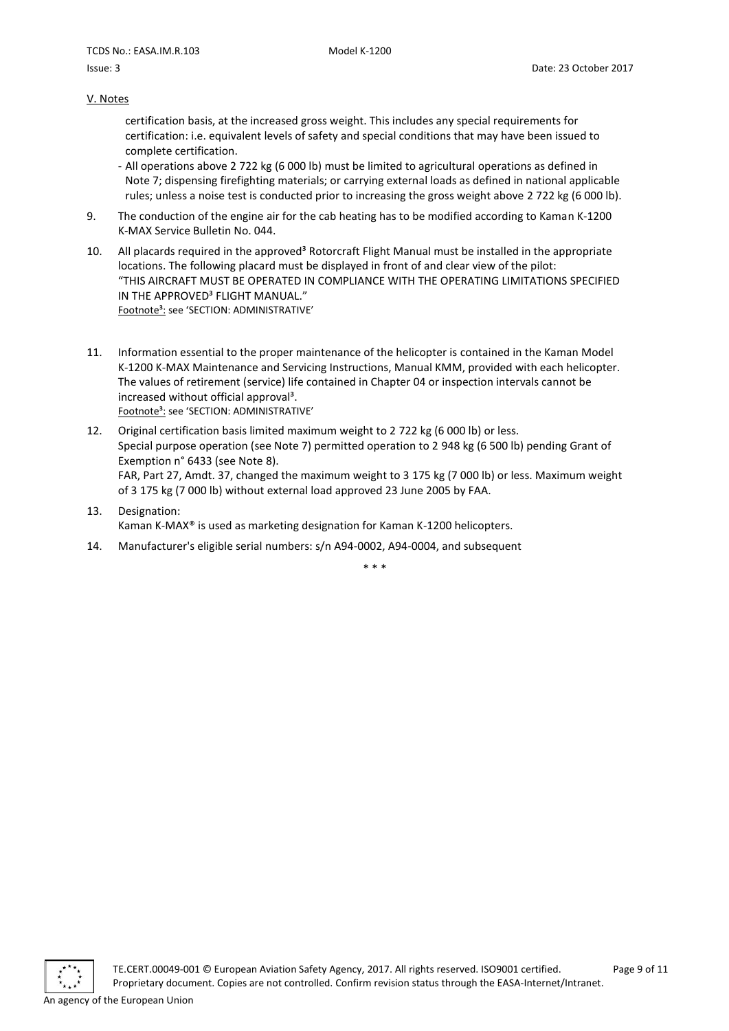#### V. Notes

certification basis, at the increased gross weight. This includes any special requirements for certification: i.e. equivalent levels of safety and special conditions that may have been issued to complete certification.

- All operations above 2 722 kg (6 000 lb) must be limited to agricultural operations as defined in Note 7; dispensing firefighting materials; or carrying external loads as defined in national applicable rules; unless a noise test is conducted prior to increasing the gross weight above 2 722 kg (6 000 lb).
- 9. The conduction of the engine air for the cab heating has to be modified according to Kaman K-1200 K-MAX Service Bulletin No. 044.
- 10. All placards required in the approved<sup>3</sup> Rotorcraft Flight Manual must be installed in the appropriate locations. The following placard must be displayed in front of and clear view of the pilot: "THIS AIRCRAFT MUST BE OPERATED IN COMPLIANCE WITH THE OPERATING LIMITATIONS SPECIFIED IN THE APPROVED<sup>3</sup> FLIGHT MANUAL." Footnote<sup>3</sup>: see 'SECTION: ADMINISTRATIVE'
- 11. Information essential to the proper maintenance of the helicopter is contained in the Kaman Model K-1200 K-MAX Maintenance and Servicing Instructions, Manual KMM, provided with each helicopter. The values of retirement (service) life contained in Chapter 04 or inspection intervals cannot be increased without official approval<sup>3</sup>. Footnote<sup>3</sup>: see 'SECTION: ADMINISTRATIVE'
- 12. Original certification basis limited maximum weight to 2 722 kg (6 000 lb) or less. Special purpose operation (see Note 7) permitted operation to 2 948 kg (6 500 lb) pending Grant of Exemption n° 6433 (see Note 8). FAR, Part 27, Amdt. 37, changed the maximum weight to 3 175 kg (7 000 lb) or less. Maximum weight of 3 175 kg (7 000 lb) without external load approved 23 June 2005 by FAA.
- 13. Designation: Kaman K-MAX® is used as marketing designation for Kaman K-1200 helicopters.
- 14. Manufacturer's eligible serial numbers: s/n A94-0002, A94-0004, and subsequent

\* \* \*

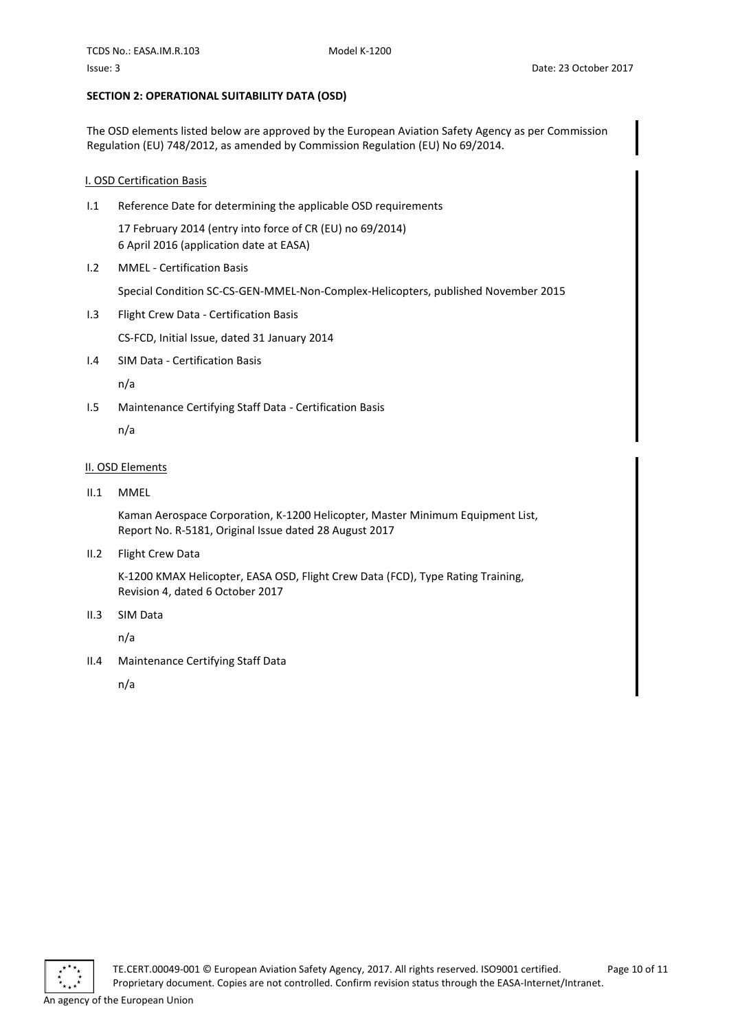# <span id="page-9-0"></span>**SECTION 2: OPERATIONAL SUITABILITY DATA (OSD)**

The OSD elements listed below are approved by the European Aviation Safety Agency as per Commission Regulation (EU) 748/2012, as amended by Commission Regulation (EU) No 69/2014.

# <span id="page-9-1"></span>I. OSD Certification Basis

I.1 Reference Date for determining the applicable OSD requirements

17 February 2014 (entry into force of CR (EU) no 69/2014) 6 April 2016 (application date at EASA)

I.2 MMEL - Certification Basis

Special Condition SC-CS-GEN-MMEL-Non-Complex-Helicopters, published November 2015

- I.3 Flight Crew Data Certification Basis CS-FCD, Initial Issue, dated 31 January 2014
- I.4 SIM Data Certification Basis

n/a

I.5 Maintenance Certifying Staff Data - Certification Basis

n/a

#### <span id="page-9-2"></span>II. OSD Elements

II.1 MMEL

Kaman Aerospace Corporation, K-1200 Helicopter, Master Minimum Equipment List, Report No. R-5181, Original Issue dated 28 August 2017

II.2 Flight Crew Data

K-1200 KMAX Helicopter, EASA OSD, Flight Crew Data (FCD), Type Rating Training, Revision 4, dated 6 October 2017

II.3 SIM Data

n/a

II.4 Maintenance Certifying Staff Data

n/a